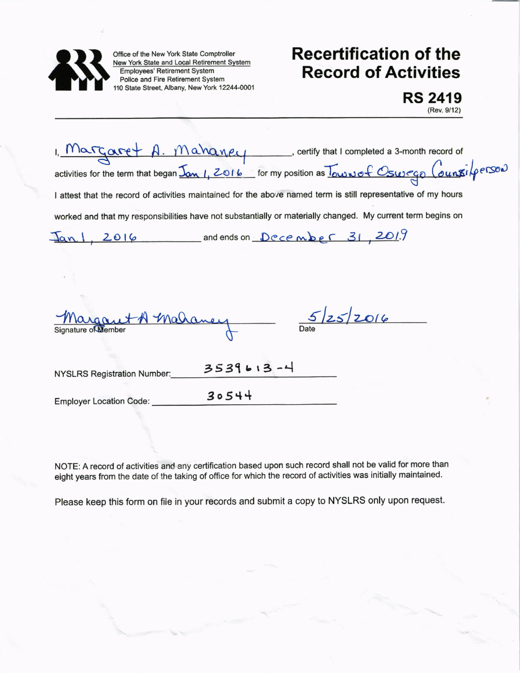

Office of the New York State Comptroller New York State and Local Retirement System Employees' Retirement System Police and Fire Retirement System 110 State Street, Albany, New York 12244-0001

## Recertification of the Record of Activities

RS 2419 (Rev.9/12)

 $I,$   $Margare+$   $A.$   $Mahange+$  , ertify that I completed a 3-month record of activities for the term that began  $\underline{J}_{\alpha\alpha l}$ , ZOI6 for my position as  $\underline{J}_{\alpha\omega\omega\alpha}$   $\xi$  Cswego  $(\alpha u_0 \vec{x}_i)$  person I attest that the record of activities maintained for the above named term is still representative of my hours worked and that my responsibilities have not substantially or materially changed. My current term begins on  $Jan1, 2016$  and ends on  $December 31, 2019$  $5/25/2014$ +A maha Date  $3539613 - 4$ NYSLRS Registration Number: Employer Location Code:  $3054+$ 

NOTE: A record of activities and any certification based upon such record shall not be valid for more than eight years from the date of the taking of office for which the record of activities was initially maintained.

Please keep this form on file in your records and submit a copy to NYSLRS only upon request.